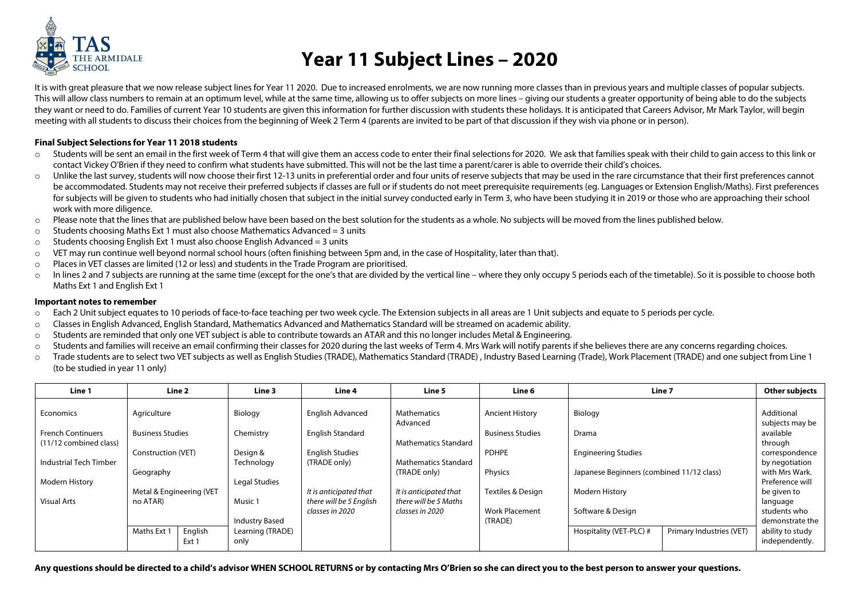

## **Year 11 Subject Lines – 2020**

It is with great pleasure that we now release subject lines for Year 11 2020. Due to increased enrolments, we are now running more classes than in previous years and multiple classes of popular subjects. This will allow class numbers to remain at an optimum level, while at the same time, allowing us to offer subjects on more lines – giving our students a greater opportunity of being able to do the subjects they want or need to do. Families of current Year 10 students are given this information for further discussion with students these holidays. It is anticipated that Careers Advisor, Mr Mark Taylor, will begin meeting with all students to discuss their choices from the beginning of Week 2 Term 4 (parents are invited to be part of that discussion if they wish via phone or in person).

## **Final Subject Selections for Year 11 2018 students**

- o Students will be sent an email in the first week of Term 4 that will give them an access code to enter their final selections for 2020. We ask that families speak with their child to gain access to this link or contact Vickey O'Brien if they need to confirm what students have submitted. This will not be the last time a parent/carer is able to override their child's choices.
- o Unlike the last survey, students will now choose their first 12-13 units in preferential order and four units of reserve subjects that may be used in the rare circumstance that their first preferences cannot be accommodated. Students may not receive their preferred subjects if classes are full or if students do not meet prerequisite requirements (eq. Languages or Extension English/Maths). First preferences for subjects will be given to students who had initially chosen that subject in the initial survey conducted early in Term 3, who have been studying it in 2019 or those who are approaching their school work with more diligence.
- o Please note that the lines that are published below have been based on the best solution for the students as a whole. No subjects will be moved from the lines published below.
- $\circ$  Students choosing Maths Ext 1 must also choose Mathematics Advanced = 3 units
- o Students choosing English Ext 1 must also choose English Advanced = 3 units
- o VET may run continue well beyond normal school hours (often finishing between 5pm and, in the case of Hospitality, later than that).
- o Places in VET classes are limited (12 or less) and students in the Trade Program are prioritised.
- o In lines 2 and 7 subjects are running at the same time (except for the one's that are divided by the vertical line where they only occupy 5 periods each of the timetable). So it is possible to choose both Maths Ext 1 and English Ext 1

## **Important notes to remember**

- o Each 2 Unit subject equates to 10 periods of face-to-face teaching per two week cycle. The Extension subjects in all areas are 1 Unit subjects and equate to 5 periods per cycle.
- o Classes in English Advanced, English Standard, Mathematics Advanced and Mathematics Standard will be streamed on academic ability.
- $\circ$  Students are reminded that only one VET subject is able to contribute towards an ATAR and this no longer includes Metal & Engineering.
- o Students and families will receive an email confirming their classes for 2020 during the last weeks of Term 4. Mrs Wark will notify parents if she believes there are any concerns regarding choices.
- o Trade students are to select two VET subjects as well as English Studies (TRADE), Mathematics Standard (TRADE) , Industry Based Learning (Trade), Work Placement (TRADE) and one subject from Line 1 (to be studied in year 11 only)

| Line 1                   | Line 2                   |         | Line 3                                    | Line 4                                     | Line 5                                      | Line 6                  |                                           | Line 7                   | Other subjects                      |
|--------------------------|--------------------------|---------|-------------------------------------------|--------------------------------------------|---------------------------------------------|-------------------------|-------------------------------------------|--------------------------|-------------------------------------|
| Economics                | Agriculture              |         | Biology                                   | <b>English Advanced</b>                    | <b>Mathematics</b>                          | <b>Ancient History</b>  | Biology                                   |                          | Additional                          |
| <b>French Continuers</b> | <b>Business Studies</b>  |         | Chemistry                                 | <b>English Standard</b>                    | Advanced                                    | <b>Business Studies</b> | Drama                                     |                          | subjects may be<br>available        |
| (11/12 combined class)   | Construction (VET)       |         | Design &                                  | <b>English Studies</b>                     | <b>Mathematics Standard</b>                 | <b>PDHPE</b>            | <b>Engineering Studies</b>                |                          | through<br>correspondence           |
| Industrial Tech Timber   | Geography                |         | Technology                                | (TRADE only)                               | <b>Mathematics Standard</b><br>(TRADE only) | Physics                 | Japanese Beginners (combined 11/12 class) |                          | by negotiation<br>with Mrs Wark.    |
| Modern History           | Metal & Engineering (VET |         | Legal Studies                             | It is anticipated that                     | It is anticipated that                      | Textiles & Design       | <b>Modern History</b>                     |                          | Preference will<br>be given to      |
| <b>Visual Arts</b>       | no ATAR)                 |         | Music 1                                   | there will be 5 English<br>classes in 2020 | there will be 5 Maths<br>classes in 2020    | <b>Work Placement</b>   | Software & Design                         |                          | language<br>students who            |
|                          | Maths Ext 1              | English | <b>Industry Based</b><br>Learning (TRADE) |                                            |                                             | (TRADE)                 | Hospitality (VET-PLC) #                   | Primary Industries (VET) | demonstrate the<br>ability to study |
|                          |                          | Ext 1   | only                                      |                                            |                                             |                         |                                           |                          | independently.                      |

**Any questions should be directed to a child's advisor WHEN SCHOOL RETURNS or by contacting Mrs O'Brien so she can direct you to the best person to answer your questions.**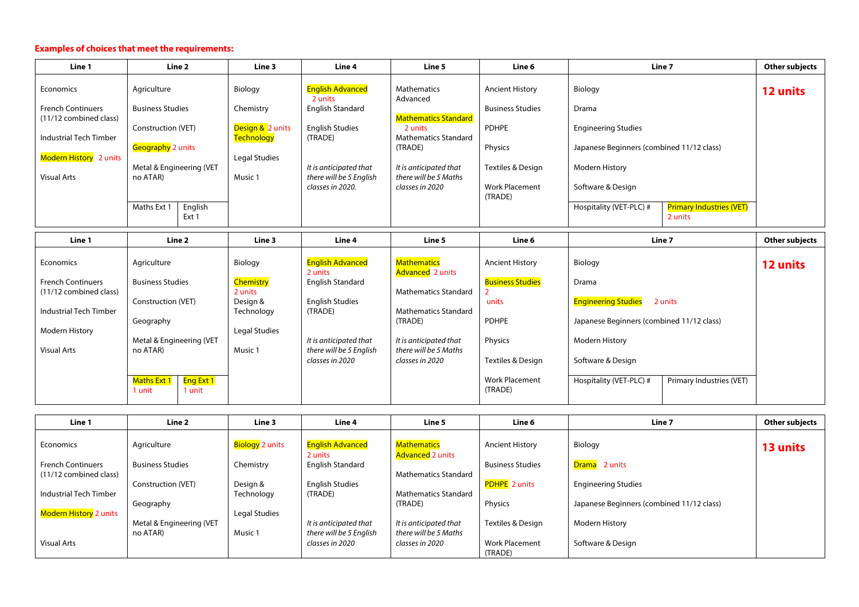## **Examples of choices that meet the requirements:**

| Line 1                                           | Line 2                               |         | Line 3                                | <b>Line 4</b>                                     | Line 5                                                         | Line 6                           |                                           | Line 7                                     | Other subjects |
|--------------------------------------------------|--------------------------------------|---------|---------------------------------------|---------------------------------------------------|----------------------------------------------------------------|----------------------------------|-------------------------------------------|--------------------------------------------|----------------|
| Economics                                        | Agriculture                          |         | Biology                               | <b>English Advanced</b><br>2 units                | <b>Mathematics</b><br>Advanced                                 | <b>Ancient History</b>           | Biology                                   |                                            | 12 units       |
| <b>French Continuers</b>                         | <b>Business Studies</b>              |         | Chemistry                             | English Standard                                  |                                                                | <b>Business Studies</b>          | Drama                                     |                                            |                |
| (11/12 combined class)<br>Industrial Tech Timber | Construction (VET)                   |         | Design & 2 units<br><b>Technology</b> | <b>English Studies</b><br>(TRADE)                 | <b>Mathematics Standard</b><br>2 units<br>Mathematics Standard | <b>PDHPE</b>                     | <b>Engineering Studies</b>                |                                            |                |
| Modern History 2 units                           | Geography 2 units                    |         | Legal Studies                         |                                                   | (TRADE)                                                        | Physics                          | Japanese Beginners (combined 11/12 class) |                                            |                |
| <b>Visual Arts</b>                               | Metal & Engineering (VET<br>no ATAR) |         | Music 1                               | It is anticipated that<br>there will be 5 English | It is anticipated that<br>there will be 5 Maths                | Textiles & Design                | <b>Modern History</b>                     |                                            |                |
|                                                  |                                      |         |                                       | classes in 2020.                                  | classes in 2020                                                | <b>Work Placement</b><br>(TRADE) | Software & Design                         |                                            |                |
|                                                  | Maths Ext 1<br>Ext 1                 | English |                                       |                                                   |                                                                |                                  | Hospitality (VET-PLC) #                   | <b>Primary Industries (VET)</b><br>2 units |                |

| Line 1                   | Line 2                                         | Line 3                 | Line 4                                     | Line 5                                        | Line 6                           | Line 7                                              | Other subjects |
|--------------------------|------------------------------------------------|------------------------|--------------------------------------------|-----------------------------------------------|----------------------------------|-----------------------------------------------------|----------------|
| Economics                | Agriculture                                    | Biology                | <b>English Advanced</b><br>2 units         | <b>Mathematics</b><br><b>Advanced</b> 2 units | <b>Ancient History</b>           | Biology                                             | 12 units       |
| <b>French Continuers</b> | <b>Business Studies</b>                        | <b>Chemistry</b>       | English Standard                           |                                               | <b>Business Studies</b>          | Drama                                               |                |
| (11/12 combined class)   |                                                | 2 units                |                                            | <b>Mathematics Standard</b>                   |                                  |                                                     |                |
| Industrial Tech Timber   | Construction (VET)                             | Design &<br>Technology | <b>English Studies</b><br>(TRADE)          | Mathematics Standard                          | units                            | <b>Engineering Studies</b><br>2 units               |                |
|                          | Geography                                      |                        |                                            | (TRADE)                                       | <b>PDHPE</b>                     | Japanese Beginners (combined 11/12 class)           |                |
| Modern History           |                                                | Legal Studies          |                                            |                                               |                                  |                                                     |                |
|                          | Metal & Engineering (VET                       |                        | It is anticipated that                     | It is anticipated that                        | Physics                          | <b>Modern History</b>                               |                |
| <b>Visual Arts</b>       | no ATAR)                                       | Music 1                | there will be 5 English<br>classes in 2020 | there will be 5 Maths<br>classes in 2020      | Textiles & Design                | Software & Design                                   |                |
|                          | Maths Ext 1  <br>Eng Ext 1<br>1 unit<br>1 unit |                        |                                            |                                               | <b>Work Placement</b><br>(TRADE) | Primary Industries (VET)<br>Hospitality (VET-PLC) # |                |

| Line 1                   | <b>Line 2</b>            | Line 3                 | Line 4                             | Line 5                                        | Line 6                           | Line 7                                    | Other subjects |
|--------------------------|--------------------------|------------------------|------------------------------------|-----------------------------------------------|----------------------------------|-------------------------------------------|----------------|
| Economics                | Agriculture              | <b>Biology</b> 2 units | <b>English Advanced</b><br>2 units | <b>Mathematics</b><br><b>Advanced 2 units</b> | <b>Ancient History</b>           | Biology                                   | 13 units       |
| <b>French Continuers</b> | <b>Business Studies</b>  | Chemistry              | English Standard                   |                                               | <b>Business Studies</b>          | Drama <sup>2</sup> 2 units                |                |
| $(11/12$ combined class) |                          |                        |                                    | <b>Mathematics Standard</b>                   |                                  |                                           |                |
| Industrial Tech Timber   | Construction (VET)       | Design &<br>Technology | <b>English Studies</b><br>(TRADE)  | <b>Mathematics Standard</b>                   | <b>PDHPE</b> 2 units             | <b>Engineering Studies</b>                |                |
|                          | Geography                |                        |                                    | (TRADE)                                       | Physics                          | Japanese Beginners (combined 11/12 class) |                |
| Modern History 2 units   |                          | Legal Studies          |                                    |                                               |                                  |                                           |                |
|                          | Metal & Engineering (VET |                        | It is anticipated that             | It is anticipated that                        | Textiles & Design                | <b>Modern History</b>                     |                |
|                          | no ATAR)                 | Music 1                | there will be 5 English            | there will be 5 Maths                         |                                  |                                           |                |
| Visual Arts              |                          |                        | classes in 2020                    | classes in 2020                               | <b>Work Placement</b><br>(TRADE) | Software & Design                         |                |